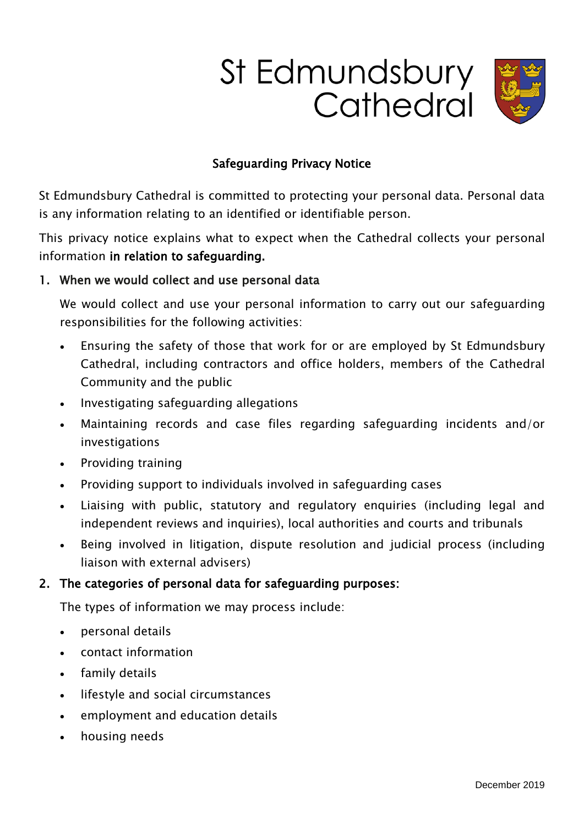# St Edmundsbury Cathedral



# Safeguarding Privacy Notice

St Edmundsbury Cathedral is committed to protecting your personal data. Personal data is any information relating to an identified or identifiable person.

This privacy notice explains what to expect when the Cathedral collects your personal information in relation to safeguarding.

## 1. When we would collect and use personal data

We would collect and use your personal information to carry out our safeguarding responsibilities for the following activities:

- Ensuring the safety of those that work for or are employed by St Edmundsbury Cathedral, including contractors and office holders, members of the Cathedral Community and the public
- Investigating safeguarding allegations
- Maintaining records and case files regarding safeguarding incidents and/or investigations
- Providing training
- Providing support to individuals involved in safeguarding cases
- Liaising with public, statutory and regulatory enquiries (including legal and independent reviews and inquiries), local authorities and courts and tribunals
- Being involved in litigation, dispute resolution and judicial process (including liaison with external advisers)

# 2. The categories of personal data for safeguarding purposes:

The types of information we may process include:

- personal details
- contact information
- family details
- lifestyle and social circumstances
- employment and education details
- housing needs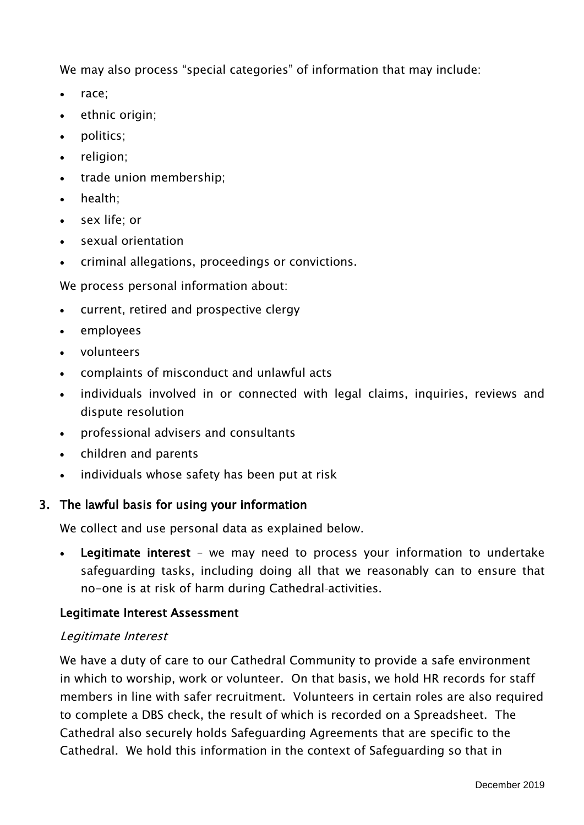We may also process "special categories" of information that may include:

- race;
- $\bullet$  ethnic origin;
- politics:
- religion;
- trade union membership;
- health;
- sex life; or
- sexual orientation
- criminal allegations, proceedings or convictions.

We process personal information about:

- current, retired and prospective clergy
- employees
- volunteers
- complaints of misconduct and unlawful acts
- individuals involved in or connected with legal claims, inquiries, reviews and dispute resolution
- professional advisers and consultants
- children and parents
- individuals whose safety has been put at risk

#### 3. The lawful basis for using your information

We collect and use personal data as explained below.

 Legitimate interest – we may need to process your information to undertake safeguarding tasks, including doing all that we reasonably can to ensure that no-one is at risk of harm during Cathedral-activities.

#### Legitimate Interest Assessment

#### Legitimate Interest

We have a duty of care to our Cathedral Community to provide a safe environment in which to worship, work or volunteer. On that basis, we hold HR records for staff members in line with safer recruitment. Volunteers in certain roles are also required to complete a DBS check, the result of which is recorded on a Spreadsheet. The Cathedral also securely holds Safeguarding Agreements that are specific to the Cathedral. We hold this information in the context of Safeguarding so that in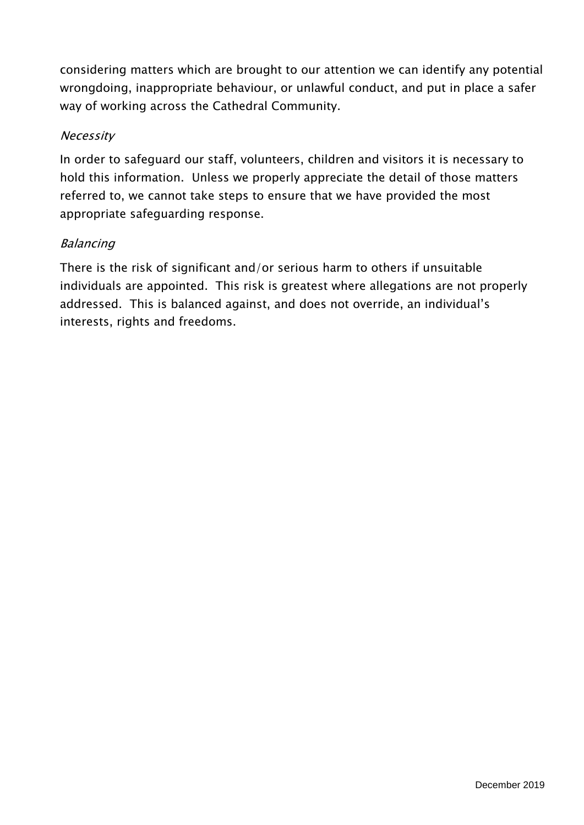considering matters which are brought to our attention we can identify any potential wrongdoing, inappropriate behaviour, or unlawful conduct, and put in place a safer way of working across the Cathedral Community.

## Necessity

In order to safeguard our staff, volunteers, children and visitors it is necessary to hold this information. Unless we properly appreciate the detail of those matters referred to, we cannot take steps to ensure that we have provided the most appropriate safeguarding response.

## Balancing

There is the risk of significant and/or serious harm to others if unsuitable individuals are appointed. This risk is greatest where allegations are not properly addressed. This is balanced against, and does not override, an individual's interests, rights and freedoms.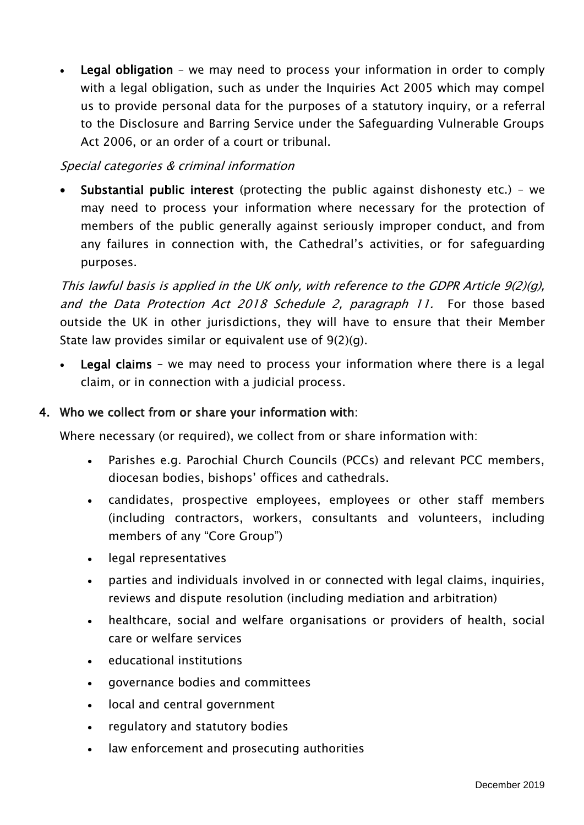Legal obligation – we may need to process your information in order to comply with a legal obligation, such as under the Inquiries Act 2005 which may compel us to provide personal data for the purposes of a statutory inquiry, or a referral to the Disclosure and Barring Service under the Safeguarding Vulnerable Groups Act 2006, or an order of a court or tribunal.

## Special categories & criminal information

 Substantial public interest (protecting the public against dishonesty etc.) – we may need to process your information where necessary for the protection of members of the public generally against seriously improper conduct, and from any failures in connection with, the Cathedral's activities, or for safeguarding purposes.

This lawful basis is applied in the UK only, with reference to the GDPR Article 9(2)(g), and the Data Protection Act 2018 Schedule 2, paragraph 11. For those based outside the UK in other jurisdictions, they will have to ensure that their Member State law provides similar or equivalent use of 9(2)(g).

 Legal claims – we may need to process your information where there is a legal claim, or in connection with a judicial process.

## 4. Who we collect from or share your information with:

Where necessary (or required), we collect from or share information with:

- Parishes e.g. Parochial Church Councils (PCCs) and relevant PCC members, diocesan bodies, bishops' offices and cathedrals.
- candidates, prospective employees, employees or other staff members (including contractors, workers, consultants and volunteers, including members of any "Core Group")
- legal representatives
- parties and individuals involved in or connected with legal claims, inquiries, reviews and dispute resolution (including mediation and arbitration)
- healthcare, social and welfare organisations or providers of health, social care or welfare services
- educational institutions
- governance bodies and committees
- local and central government
- regulatory and statutory bodies
- law enforcement and prosecuting authorities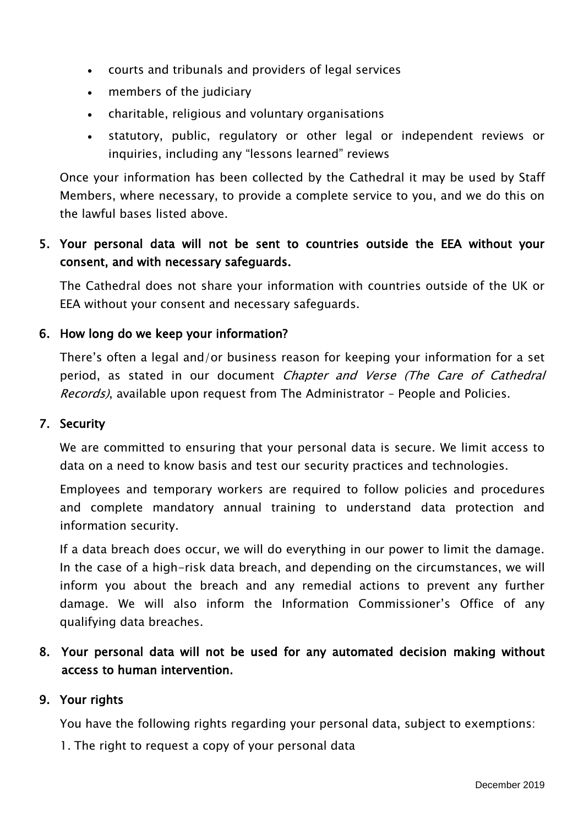- courts and tribunals and providers of legal services
- members of the judiciary
- charitable, religious and voluntary organisations
- statutory, public, regulatory or other legal or independent reviews or inquiries, including any "lessons learned" reviews

Once your information has been collected by the Cathedral it may be used by Staff Members, where necessary, to provide a complete service to you, and we do this on the lawful bases listed above.

# 5. Your personal data will not be sent to countries outside the EEA without your consent, and with necessary safeguards.

The Cathedral does not share your information with countries outside of the UK or EEA without your consent and necessary safeguards.

## 6. How long do we keep your information?

There's often a legal and/or business reason for keeping your information for a set period, as stated in our document Chapter and Verse (The Care of Cathedral Records), available upon request from The Administrator - People and Policies.

#### 7. Security

We are committed to ensuring that your personal data is secure. We limit access to data on a need to know basis and test our security practices and technologies.

Employees and temporary workers are required to follow policies and procedures and complete mandatory annual training to understand data protection and information security.

If a data breach does occur, we will do everything in our power to limit the damage. In the case of a high-risk data breach, and depending on the circumstances, we will inform you about the breach and any remedial actions to prevent any further damage. We will also inform the Information Commissioner's Office of any qualifying data breaches.

# 8. Your personal data will not be used for any automated decision making without access to human intervention.

#### 9. Your rights

You have the following rights regarding your personal data, subject to exemptions:

1. The right to request a copy of your personal data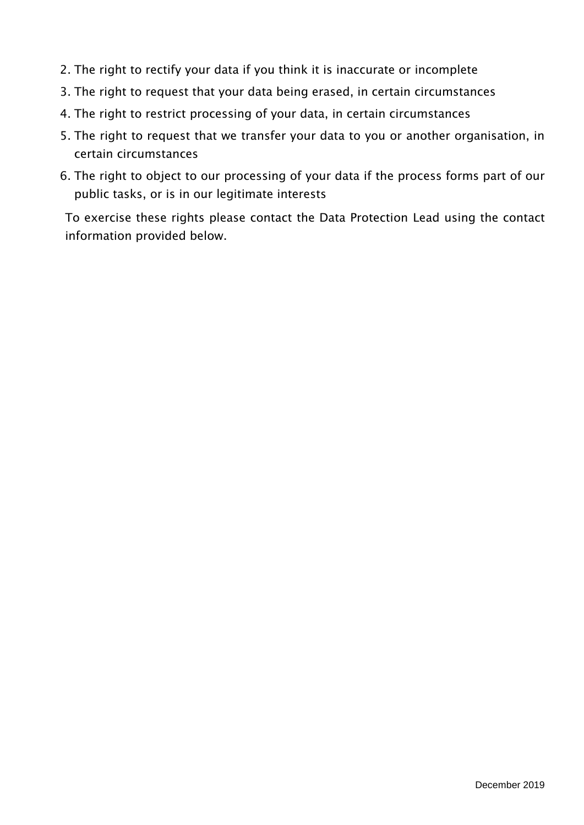- 2. The right to rectify your data if you think it is inaccurate or incomplete
- 3. The right to request that your data being erased, in certain circumstances
- 4. The right to restrict processing of your data, in certain circumstances
- 5. The right to request that we transfer your data to you or another organisation, in certain circumstances
- 6. The right to object to our processing of your data if the process forms part of our public tasks, or is in our legitimate interests

To exercise these rights please contact the Data Protection Lead using the contact information provided below.